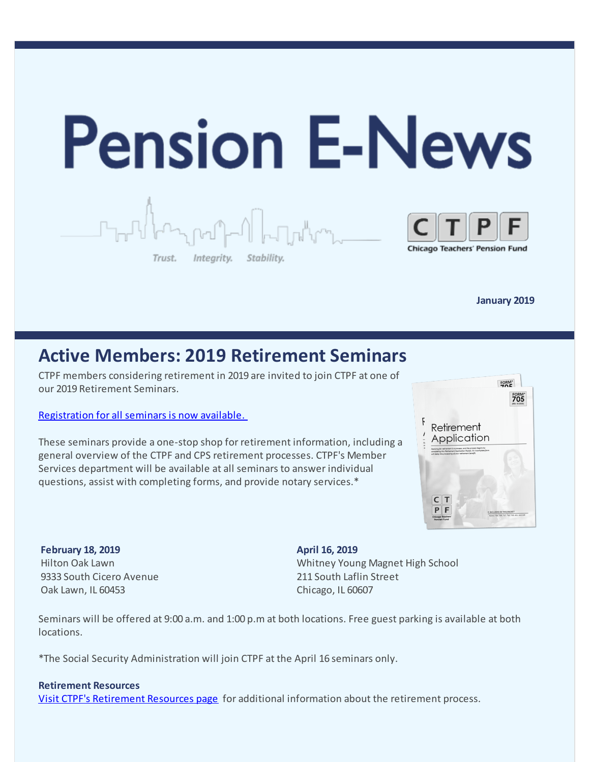

**January 2019** 

## **Active Members: 2019 Retirement Seminars**

CTPF members considering retirement in 2019 are invited to join CTPF at one of our 2019 Retirement Seminars.

### [Registration for all seminars is now available.](https://goo.gl/forms/aIcWMLwPGVazbKEu2)

These seminars provide a one-stop shop for retirement information, including a general overview of the CTPF and CPS retirement processes. CTPF's Member Services department will be available at all seminars to answer individual questions, assist with completing forms, and provide notary services.\*



**February 18, 2019** Hilton Oak Lawn 9333 South Cicero Avenue Oak Lawn, IL 60453

**April 16, 2019** Whitney Young Magnet High School 211 South Laflin Street Chicago, IL 60607

Seminars will be offered at 9:00 a.m. and 1:00 p.m at both locations. Free guest parking is available at both locations.

\*The Social Security Administration will join CTPF at the April 16 seminars only.

#### **Retirement Resources**

[Visit CTPF's Retirement Resources page](https://www.ctpf.org/retirement-resources) for additional information about the retirement process.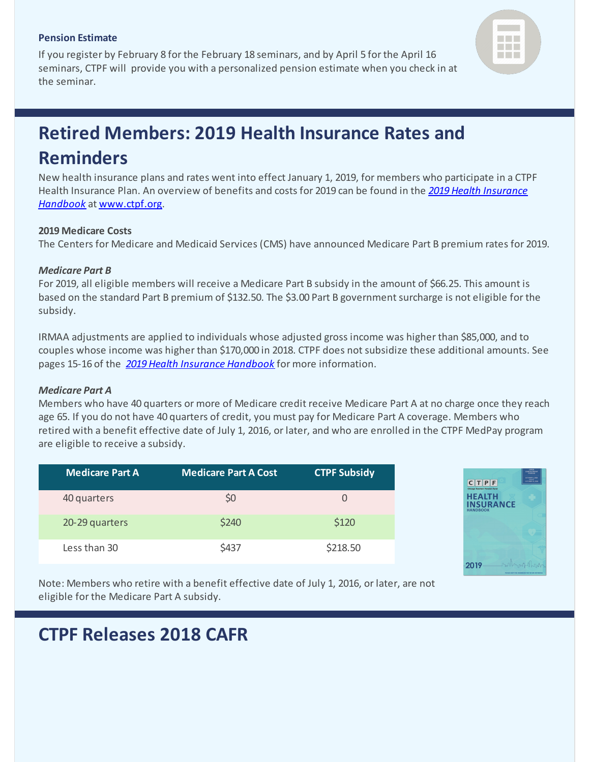#### **Pension Estimate**

If you register by February 8 for the February 18 seminars, and by April 5 for the April 16 seminars, CTPF will provide you with a personalized pension estimate when you check in at the seminar.



# **Retired Members: 2019 Health Insurance Rates and Reminders**

New health insurance plans and rates went into effect January 1, 2019, for members who participate in a CTPF [Health Insurance Plan. An overview of benefits and costs for 2019 can be found in the](https://www.ctpf.org/sites/main/files/file-attachments/health_insurance_handbook_k_2018-19.pdf) *2019 Health Insurance Handbook* at [www.ctpf.org](https://www.ctpf.org/health-insurance-forms-publications).

### **2019 Medicare Costs**

The Centers for Medicare and Medicaid Services (CMS) have announced Medicare Part B premium rates for 2019.

### *Medicare Part B*

For 2019, all eligible members will receive a Medicare Part B subsidy in the amount of \$66.25. This amount is based on the standard Part B premium of \$132.50. The \$3.00 Part B government surcharge is not eligible for the subsidy.

IRMAA adjustments are applied to individuals whose adjusted gross income was higher than \$85,000, and to couples whose income was higher than \$170,000 in 2018. CTPF does not subsidize these additional amounts. See pages 15-16 of the *[2019 Health Insurance Handbook](https://www.ctpf.org/sites/main/files/file-attachments/health_insurance_handbook_k_2018-19.pdf)* for more information.

#### *Medicare Part A*

Members who have 40 quarters or more of Medicare credit receive Medicare Part A at no charge once they reach age 65. If you do not have 40 quarters of credit, you must pay for Medicare Part A coverage. Members who retired with a benefit effective date of July 1, 2016, or later, and who are enrolled in the CTPF MedPay program are eligible to receive a subsidy.

| <b>Medicare Part A</b> | <b>Medicare Part A Cost</b> | <b>CTPF Subsidy</b> |
|------------------------|-----------------------------|---------------------|
| 40 quarters            | \$0                         | $\Omega$            |
| 20-29 quarters         | \$240                       | \$120               |
| Less than 30           | \$437                       | \$218.50            |



Note: Members who retire with a benefit effective date of July 1, 2016, or later, are not eligible for the Medicare Part A subsidy.

## **CTPF Releases 2018 CAFR**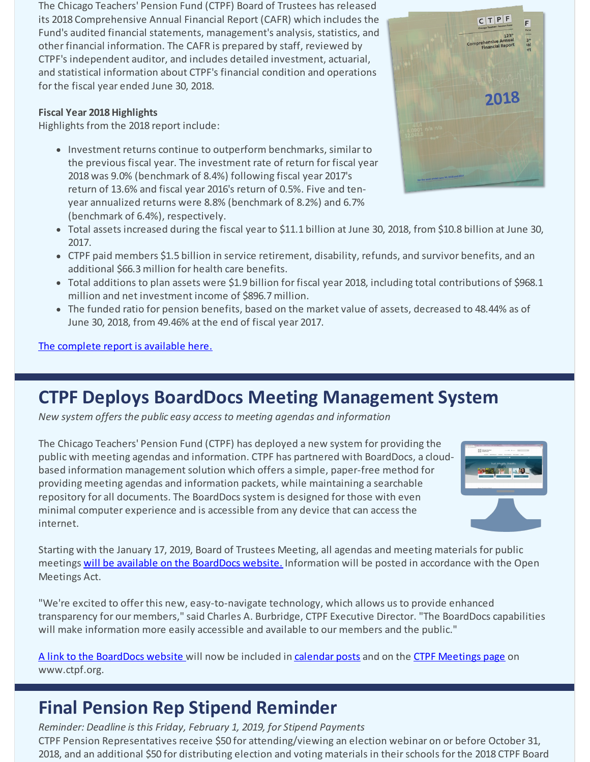The Chicago Teachers' Pension Fund (CTPF) Board of Trustees has released its 2018 Comprehensive Annual Financial Report (CAFR) which includes the Fund's audited financial statements, management's analysis, statistics, and other financial information. The CAFR is prepared by staff, reviewed by CTPF's independent auditor, and includes detailed investment, actuarial, and statistical information about CTPF's financial condition and operations for the fiscal year ended June 30, 2018.

### **Fiscal Year 2018 Highlights**

Highlights from the 2018 report include:

• Investment returns continue to outperform benchmarks, similar to the previous fiscal year. The investment rate of return for fiscal year 2018 was 9.0% (benchmark of 8.4%) following fiscal year 2017's return of 13.6% and fiscal year 2016's return of 0.5%. Five and tenyear annualized returns were 8.8% (benchmark of 8.2%) and 6.7% (benchmark of 6.4%), respectively.



- Total assets increased during the fiscal year to \$11.1 billion at June 30, 2018, from \$10.8 billion at June 30, 2017.
- CTPF paid members \$1.5 billion in service retirement, disability, refunds, and survivor benefits, and an additional \$66.3 million for health care benefits.
- Total additions to plan assets were \$1.9 billion for fiscal year 2018, including total contributions of \$968.1 million and net investment income of \$896.7 million.
- The funded ratio for pension benefits, based on the market value of assets, decreased to 48.44% as of June 30, 2018, from 49.46% at the end of fiscal year 2017.

### [The complete report is available here.](https://www.ctpf.org/sites/main/files/file-attachments/2018_ctpf_cafr_final.pdf)

## **CTPF Deploys BoardDocs Meeting Management System**

*New system offers the public easy access to meeting agendas and information*

The Chicago Teachers' Pension Fund (CTPF) has deployed a new system for providing the public with meeting agendas and information. CTPF has partnered with BoardDocs, a cloudbased information management solution which offers a simple, paper-free method for providing meeting agendas and information packets, while maintaining a searchable repository for all documents. The BoardDocs system is designed for those with even minimal computer experience and is accessible from any device that can access the internet.



Starting with the January 17, 2019, Board of Trustees Meeting, all agendas and meeting materials for public meetings [will be available on the BoardDocs website.](https://www.boarddocs.com/il/ctpf/board.nsf/Public) Information will be posted in accordance with the Open Meetings Act.

"We're excited to offer this new, easy-to-navigate technology, which allows us to provide enhanced transparency for our members," said Charles A. Burbridge, CTPF Executive Director. "The BoardDocs capabilities will make information more easily accessible and available to our members and the public."

[A link to the BoardDocs website](https://www.boarddocs.com/il/ctpf/board.nsf/Public) will now be included in [calendar posts](https://www.ctpf.org/calendar) and on the [CTPF Meetings page](https://www.ctpf.org/post/board-meetings) on www.ctpf.org.

## **Final Pension Rep Stipend Reminder**

*Reminder: Deadline is this Friday, February 1, 2019, for Stipend Payments* CTPF Pension Representatives receive \$50 for attending/viewing an election webinar on or before October 31, 2018, and an additional \$50 for distributing election and voting materials in their schools for the 2018 CTPF Board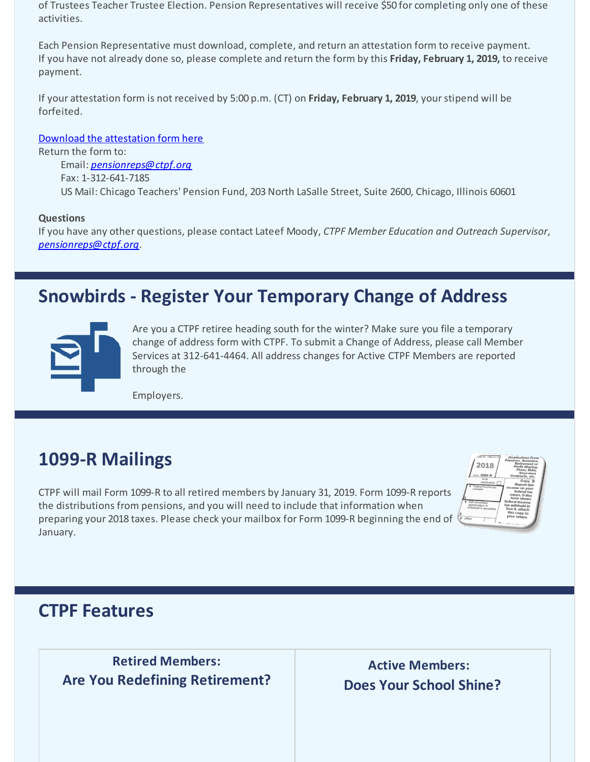of Trustees Teacher Trustee Election. Pension Representatives will receive \$50 for completing only one of these activities.

Each Pension Representative must download, complete, and return an attestation form to receive payment. If you have not already done so, please complete and return the form by this **Friday, February 1, 2019,** to receive payment.

If your attestation form is not received by 5:00 p.m. (CT) on **Friday, February 1, 2019**, your stipend will be forfeited.

[Download the attestation form here](https://www.ctpf.org/sites/main/files/file-attachments/pension_rep_attestation_form_2018_round_2_1.15.19.pdf)

Return the form to: Email: *[pensionreps@ctpf.org](mailto:pensionreps@ctpf.org)* Fax: 1-312-641-7185 US Mail: Chicago Teachers' Pension Fund, 203 North LaSalle Street, Suite 2600, Chicago, Illinois 60601

### **Questions**

If you have any other questions, please contact Lateef Moody, *CTPF Member Education and Outreach Supervisor*, *[pensionreps@ctpf.org](mailto:pensionreps@ctpf.org)*.

## **Snowbirds - Register Your Temporary Change of Address**



Are you a CTPF retiree heading south for the winter? Make sure you file a temporary change of address form with CTPF. To submit a Change of Address, please call Member Services at 312-641-4464. All address changes for Active CTPF Members are reported through the

Employers.

## **1099-R Mailings**

CTPF will mail Form 1099-R to all retired members by January 31, 2019. Form 1099-R reports the distributions from pensions, and you will need to include that information when preparing your 2018 taxes. Please check your mailbox for Form 1099-R beginning the end of January.



### **CTPF Features**

 **Retired Members: Are You Redefining Retirement?**

**Active Members: Does Your School Shine?**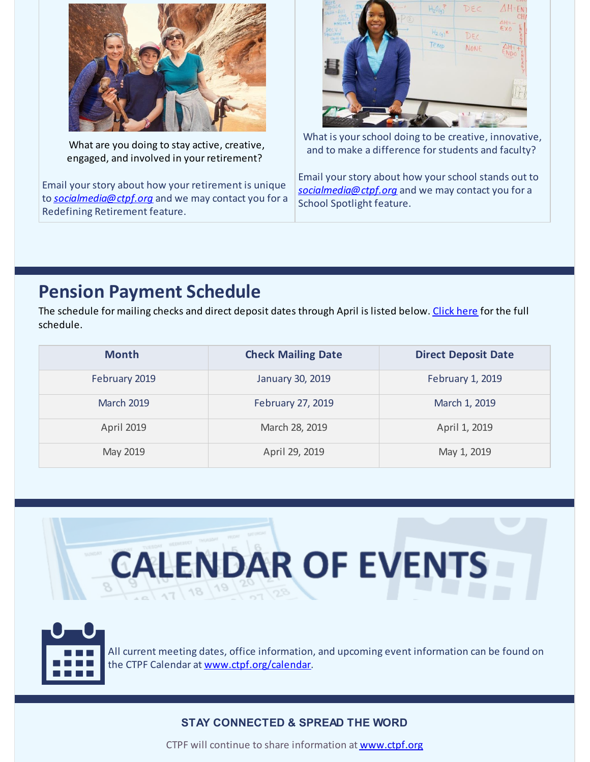

What are you doing to stay active, creative, engaged, and involved in your retirement?

Email your story about how your retirement is unique to *[socialmedia@ctpf.org](mailto:socialmedia@ctpf.org)* and we may contact you for a Redefining Retirement feature.



What is your school doing to be creative, innovative, and to make a difference forstudents and faculty?

Email yourstory about how yourschool stands out to *[socialmedia@ctpf.org](mailto:socialmedia@ctpf.org)* and we may contact you for a School Spotlight feature.

## **Pension Payment Schedule**

The schedule for mailing checks and direct deposit dates through April is listed below. [Click](https://www.ctpf.org/pension-payments) here for the full schedule.

| <b>Month</b>      | <b>Check Mailing Date</b> | <b>Direct Deposit Date</b> |
|-------------------|---------------------------|----------------------------|
| February 2019     | January 30, 2019          | February 1, 2019           |
| <b>March 2019</b> | February 27, 2019         | March 1, 2019              |
| <b>April 2019</b> | March 28, 2019            | April 1, 2019              |
| May 2019          | April 29, 2019            | May 1, 2019                |



### **STAY CONNECTED & SPREAD THE WORD**

CTPF will continue to share information at [www.ctpf.org](https://www.ctpf.org/)